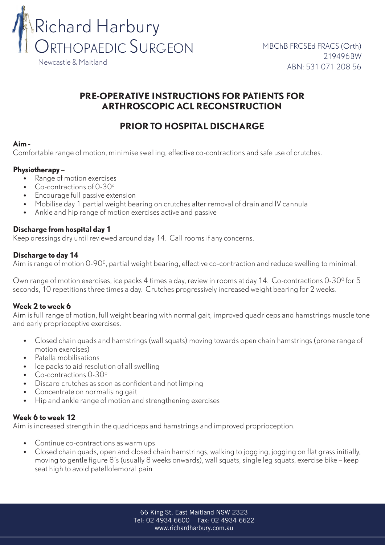

## **PRE-OPERATIVE INSTRUCTIONS FOR PATIENTS FOR ARTHROSCOPIC ACL RECONSTRUCTION**

# **PRIOR TO HOSPITAL DISCHARGE**

#### **Aim -**

Comfortable range of motion, minimise swelling, effective co-contractions and safe use of crutches.

### **Physiotherapy –**

- • Range of motion exercises
- $\bullet$  Co-contractions of 0-30 $^{\circ}$
- • Encourage full passive extension
- Mobilise day 1 partial weight bearing on crutches after removal of drain and IV cannula
- • Ankle and hip range of motion exercises active and passive

## **Discharge from hospital day 1**

Keep dressings dry until reviewed around day 14. Call rooms if any concerns.

## **Discharge to day 14**

Aim is range of motion 0-900, partial weight bearing, effective co-contraction and reduce swelling to minimal.

Own range of motion exercises, ice packs 4 times a day, review in rooms at day 14. Co-contractions 0-30<sup>0</sup> for 5 seconds, 10 repetitions three times a day. Crutches progressively increased weight bearing for 2 weeks.

## **Week 2 to week 6**

Aim is full range of motion, full weight bearing with normal gait, improved quadriceps and hamstrings muscle tone and early proprioceptive exercises.

- • Closed chain quads and hamstrings (wall squats) moving towards open chain hamstrings (prone range of motion exercises)
- • Patella mobilisations
- Ice packs to aid resolution of all swelling
- Co-contractions 0-30<sup>0</sup>
- • Discard crutches as soon as confident and not limping
- Concentrate on normalising gait
- Hip and ankle range of motion and strengthening exercises

### **Week 6 to week 12**

Aim is increased strength in the quadriceps and hamstrings and improved proprioception.

- • Continue co-contractions as warm ups
- • Closed chain quads, open and closed chain hamstrings, walking to jogging, jogging on flat grass initially, moving to gentle figure 8's (usually 8 weeks onwards), wall squats, single leg squats, exercise bike – keep seat high to avoid patellofemoral pain